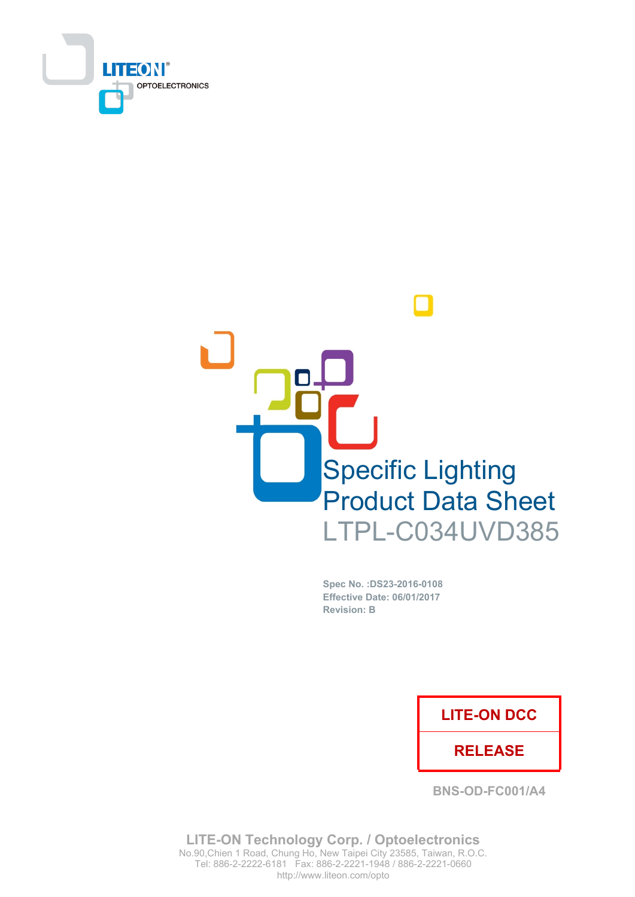



Spec No. : DS23-2016-0108 Effective Date: 06/01/2017 **Revision: B** 

### **LITE-ON DCC**

### **RELEASE**

**BNS-OD-FC001/A4** 

**LITE-ON Technology Corp. / Optoelectronics** No.90, Chien 1 Road, Chung Ho, New Taipei City 23585, Taiwan, R.O.C. Tel: 886-2-2222-6181 Fax: 886-2-2221-1948 / 886-2-2221-0660 http://www.liteon.com/opto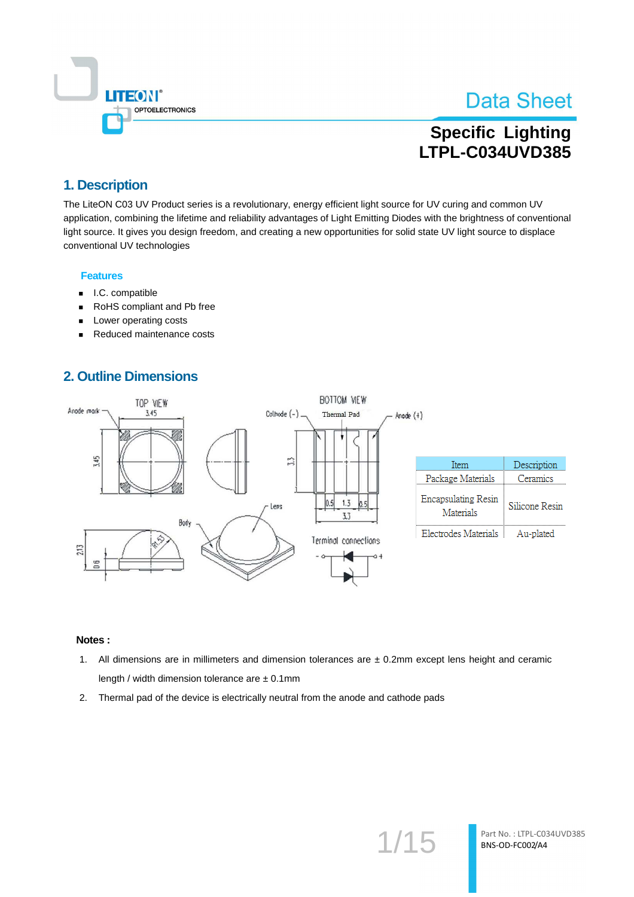

## **Specific Lighting** LTPL-C034UVD385

### 1. Description

The LiteON C03 UV Product series is a revolutionary, energy efficient light source for UV curing and common UV application, combining the lifetime and reliability advantages of Light Emitting Diodes with the brightness of conventional light source. It gives you design freedom, and creating a new opportunities for solid state UV light source to displace conventional UV technologies

#### **Features**

- I.C. compatible  $\blacksquare$
- RoHS compliant and Pb free  $\blacksquare$
- Lower operating costs  $\blacksquare$
- Reduced maintenance costs

## **2. Outline Dimensions**



- 1. All dimensions are in millimeters and dimension tolerances are  $\pm$  0.2mm except lens height and ceramic length / width dimension tolerance are  $\pm$  0.1mm
- 2. Thermal pad of the device is electrically neutral from the anode and cathode pads

 $1/15$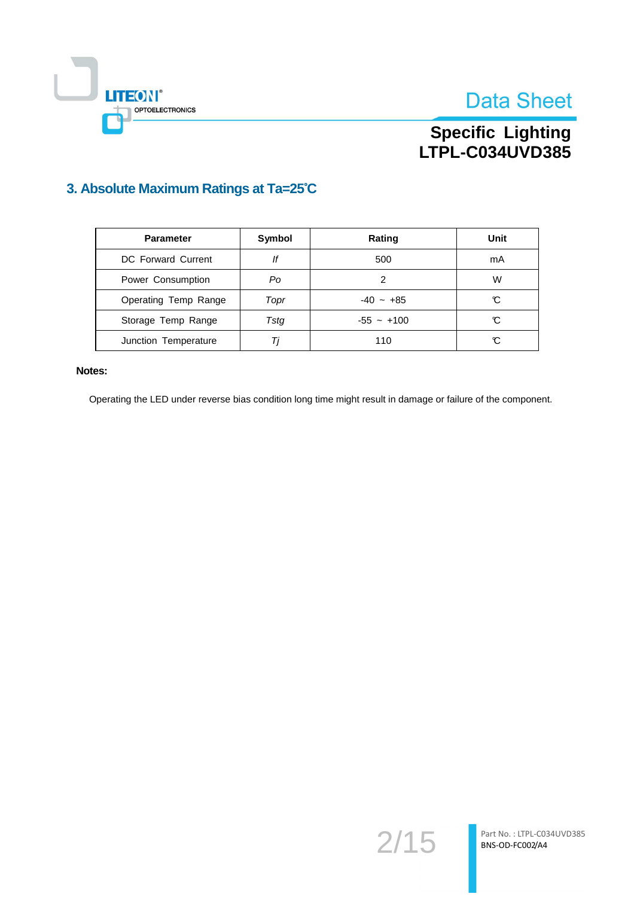



# Specific Lighting<br>LTPL-C034UVD385

## 3. Absolute Maximum Ratings at Ta=25°C

| <b>Parameter</b>     | Symbol | Rating       | Unit |
|----------------------|--------|--------------|------|
| DC Forward Current   | lf     | 500          | mA   |
| Power Consumption    | Po     | 2            | w    |
| Operating Temp Range | Topr   | $-40 - +85$  | C    |
| Storage Temp Range   | Tsta   | $-55 - +100$ | C    |
| Junction Temperature | Τi     | 110          | C    |

#### Notes:

Operating the LED under reverse bias condition long time might result in damage or failure of the component.

 $2/15$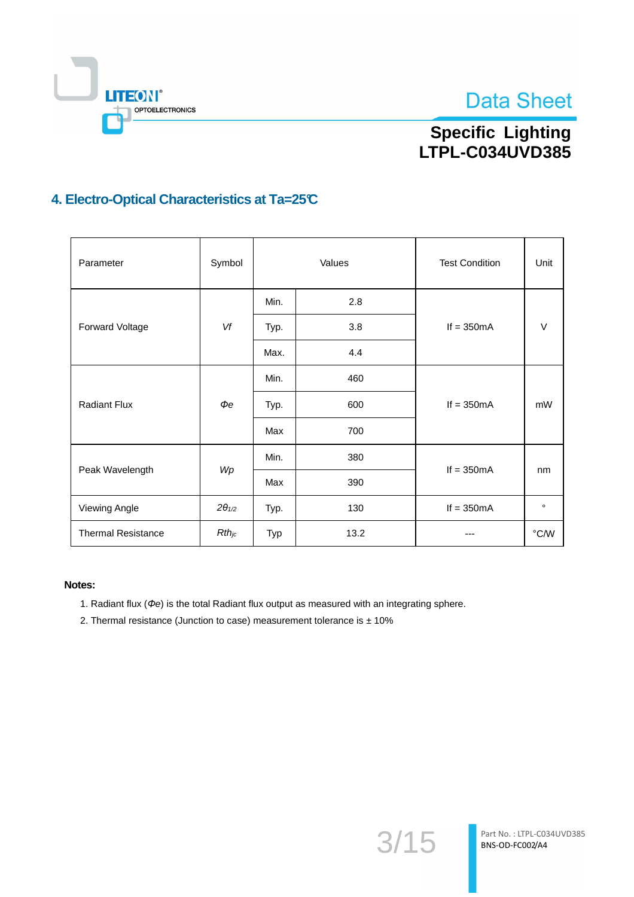



# Specific Lighting<br>LTPL-C034UVD385

## 4. Electro-Optical Characteristics at Ta=25°C

| Parameter                 | Symbol          | Values |      | <b>Test Condition</b> | Unit           |
|---------------------------|-----------------|--------|------|-----------------------|----------------|
|                           |                 | Min.   | 2.8  | If $= 350mA$          |                |
| Forward Voltage           | Vf              | Typ.   | 3.8  |                       | V              |
|                           |                 | Max.   | 4.4  |                       |                |
| <b>Radiant Flux</b>       | $\Phi e$        | Min.   | 460  | If $= 350mA$          |                |
|                           |                 | Typ.   | 600  |                       | mW             |
|                           |                 | Max    | 700  |                       |                |
|                           | Wp              | Min.   | 380  | If $= 350mA$          | nm             |
| Peak Wavelength           |                 | Max    | 390  |                       |                |
| Viewing Angle             | $2\theta_{1/2}$ | Typ.   | 130  | If $= 350mA$          | $\circ$        |
| <b>Thermal Resistance</b> | $Rth_{jc}$      | Typ    | 13.2 |                       | $^{\circ}$ C/W |

- 1. Radiant flux ( $\Phi$ e) is the total Radiant flux output as measured with an integrating sphere.
- 2. Thermal resistance (Junction to case) measurement tolerance is ± 10%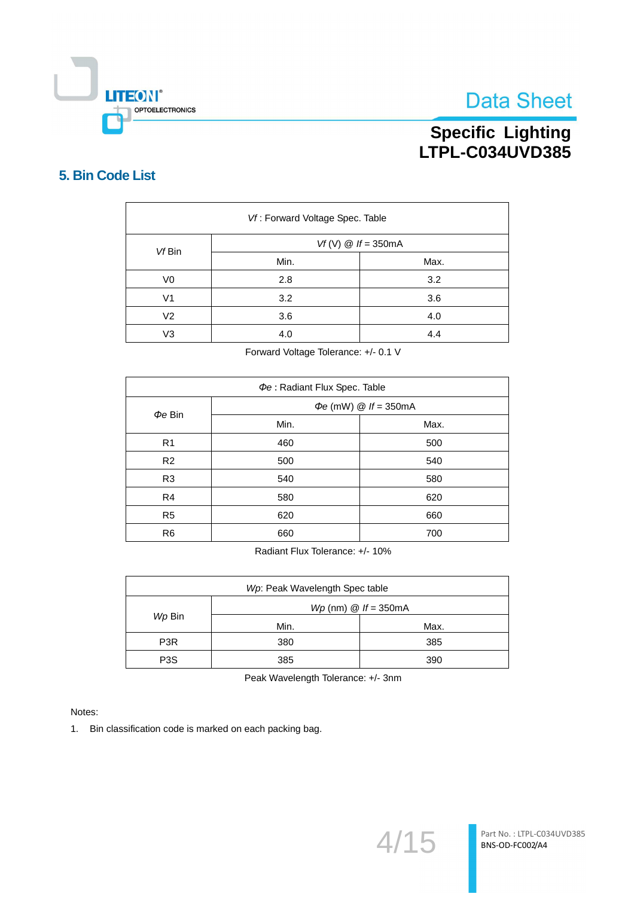

# Specific Lighting<br>LTPL-C034UVD385

### 5. Bin Code List

| Vf: Forward Voltage Spec. Table |                      |      |  |  |  |
|---------------------------------|----------------------|------|--|--|--|
| Vf Bin                          | $Vf(V)$ @ If = 350mA |      |  |  |  |
|                                 | Min.                 | Max. |  |  |  |
| V <sub>0</sub>                  | 2.8                  | 3.2  |  |  |  |
| V <sub>1</sub>                  | 3.2                  | 3.6  |  |  |  |
| V <sub>2</sub>                  | 3.6                  | 4.0  |  |  |  |
| V <sub>3</sub>                  | 4.0                  | 4.4  |  |  |  |

Forward Voltage Tolerance: +/- 0.1 V

| Pe: Radiant Flux Spec. Table |                                   |      |  |  |  |
|------------------------------|-----------------------------------|------|--|--|--|
|                              | $\Phi e$ (mW) $\omega$ If = 350mA |      |  |  |  |
| $\Phi e$ Bin                 | Min.                              | Max. |  |  |  |
| R <sub>1</sub>               | 460                               | 500  |  |  |  |
| R <sub>2</sub>               | 500                               | 540  |  |  |  |
| R <sub>3</sub>               | 540                               | 580  |  |  |  |
| R <sub>4</sub>               | 580                               | 620  |  |  |  |
| R <sub>5</sub><br>620        |                                   | 660  |  |  |  |
| R <sub>6</sub>               | 660                               | 700  |  |  |  |

Radiant Flux Tolerance: +/- 10%

| Wp: Peak Wavelength Spec table |                                        |      |  |  |
|--------------------------------|----------------------------------------|------|--|--|
|                                | $Wp$ (nm) $\textcircled{a}$ If = 350mA |      |  |  |
| Wp Bin                         | Min.                                   | Max. |  |  |
| P <sub>3</sub> R               | 380                                    | 385  |  |  |
| P <sub>3</sub> S               | 385                                    | 390  |  |  |

Peak Wavelength Tolerance: +/- 3nm

Notes:

1. Bin classification code is marked on each packing bag.

 $4/15$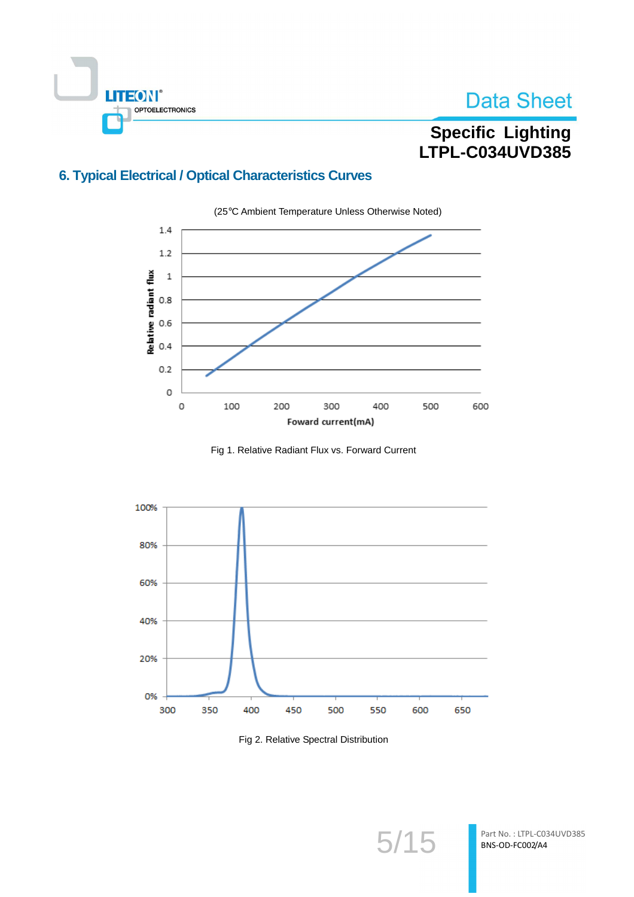

## **Specific Lighting** LTPL-C034UVD385

## **6. Typical Electrical / Optical Characteristics Curves**



Fig 1. Relative Radiant Flux vs. Forward Current



Fig 2. Relative Spectral Distribution

 $5/15$ 

Part No.: LTPL-C034UVD385 BNS-OD-FC002/A4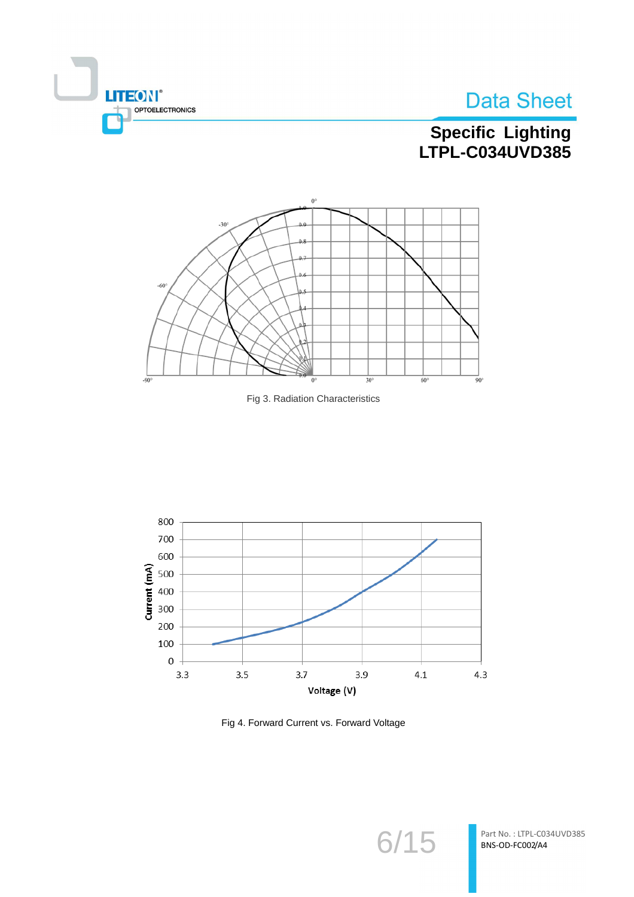



# Specific Lighting<br>LTPL-C034UVD385







Fig 4. Forward Current vs. Forward Voltage

 $6/15$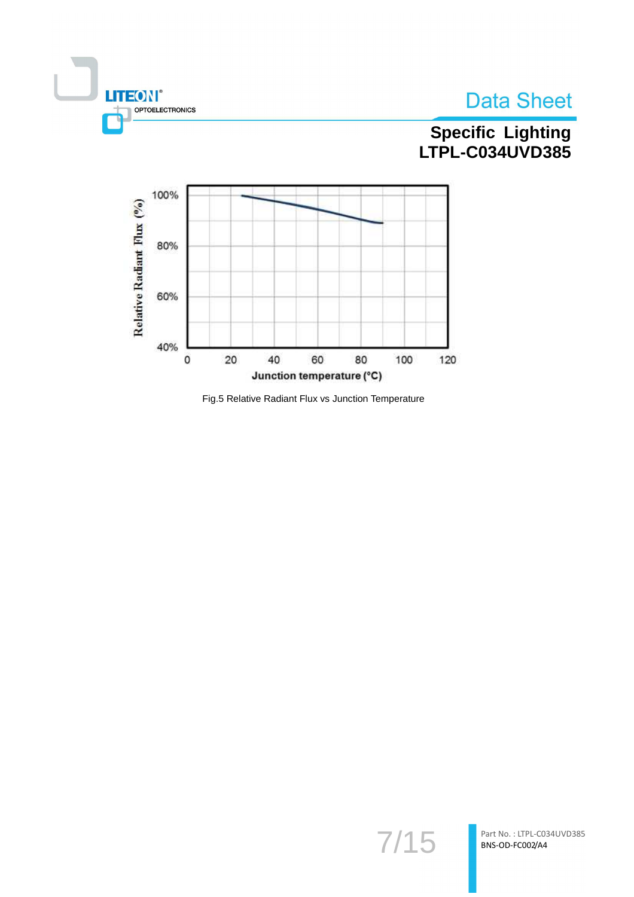

# Specific Lighting<br>LTPL-C034UVD385



Fig.5 Relative Radiant Flux vs Junction Temperature

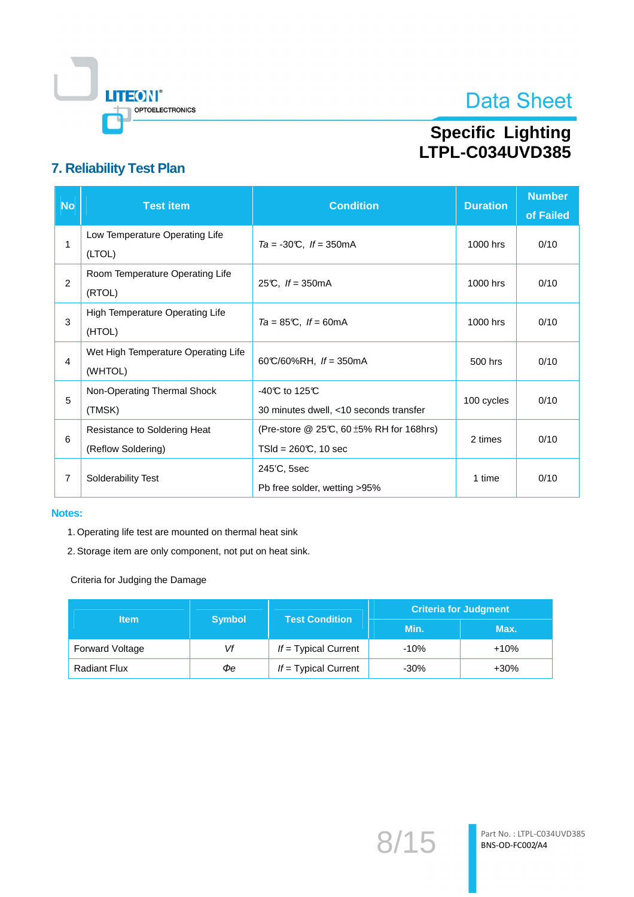

# Specific Lighting<br>LTPL-C034UVD385

## 7. Reliability Test Plan

| <b>No</b> | <b>Test item</b>                                   | <b>Condition</b>                                                                 | <b>Duration</b> | <b>Number</b><br>of Failed |
|-----------|----------------------------------------------------|----------------------------------------------------------------------------------|-----------------|----------------------------|
| 1         | Low Temperature Operating Life<br>(LTOL)           | $Ta = -30^{\circ}C$ , $If = 350^{\circ}mA$                                       | 1000 hrs        | 0/10                       |
| 2         | Room Temperature Operating Life<br>(RTOL)          | 25°C, $If = 350mA$                                                               | 1000 hrs        | 0/10                       |
| 3         | High Temperature Operating Life<br>(HTOL)          | $Ta = 85^{\circ}\text{C}$ , $If = 60^{\circ}\text{mA}$                           | 1000 hrs        | 0/10                       |
| 4         | Wet High Temperature Operating Life<br>(WHTOL)     | 60°C/60%RH, $If = 350$ mA                                                        | 500 hrs         | 0/10                       |
| 5         | Non-Operating Thermal Shock<br>(TMSK)              | -40 $\mathbb C$ to 125 $\mathbb C$<br>30 minutes dwell, <10 seconds transfer     | 100 cycles      | 0/10                       |
| 6         | Resistance to Soldering Heat<br>(Reflow Soldering) | (Pre-store $@$ 25°C, 60 $\pm$ 5% RH for 168hrs)<br>$TSId = 260\text{C}$ , 10 sec | 2 times         | 0/10                       |
| 7         | Solderability Test                                 | 245'C, 5sec<br>Pb free solder, wetting >95%                                      | 1 time          | 0/10                       |

#### Notes:

- 1. Operating life test are mounted on thermal heat sink
- 2. Storage item are only component, not put on heat sink.

Criteria for Judging the Damage

| <b>Item</b>            | <b>Symbol</b> | <b>Test Condition</b>  | <b>Criteria for Judgment</b> |        |  |
|------------------------|---------------|------------------------|------------------------------|--------|--|
|                        |               |                        | Min.                         | Max.   |  |
| <b>Forward Voltage</b> | Vf            | $If = Typical Current$ | $-10%$                       | $+10%$ |  |
| <b>Radiant Flux</b>    | Фе            | $If = Typical Current$ | $-30\%$                      | $+30%$ |  |

 $8/15$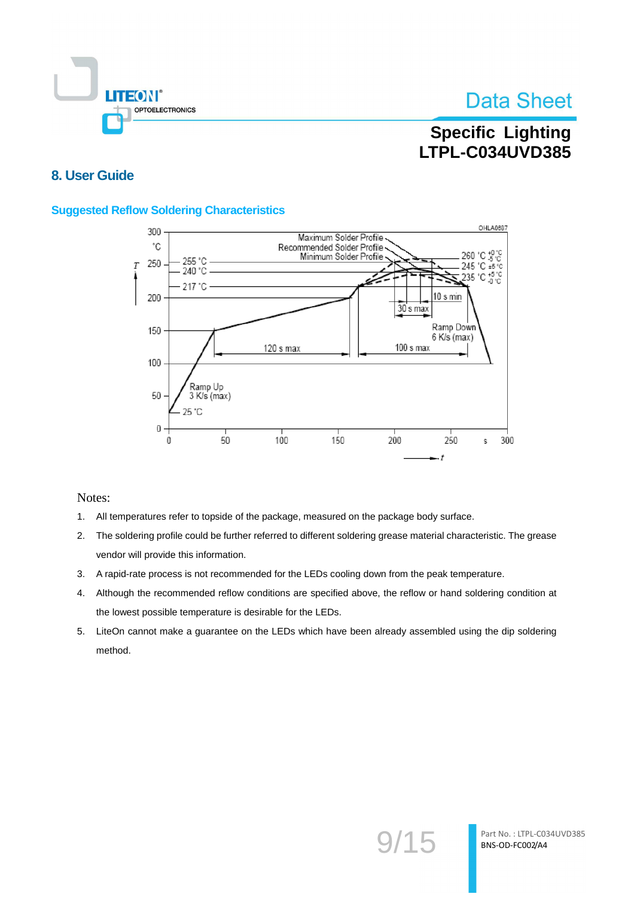

## **Specific Lighting** LTPL-C034UVD385

### 8. User Guide

#### **Suggested Reflow Soldering Characteristics**



- $1.$ All temperatures refer to topside of the package, measured on the package body surface.
- The soldering profile could be further referred to different soldering grease material characteristic. The grease  $2.$ vendor will provide this information.
- 3. A rapid-rate process is not recommended for the LEDs cooling down from the peak temperature.
- Although the recommended reflow conditions are specified above, the reflow or hand soldering condition at 4. the lowest possible temperature is desirable for the LEDs.
- 5. LiteOn cannot make a guarantee on the LEDs which have been already assembled using the dip soldering method.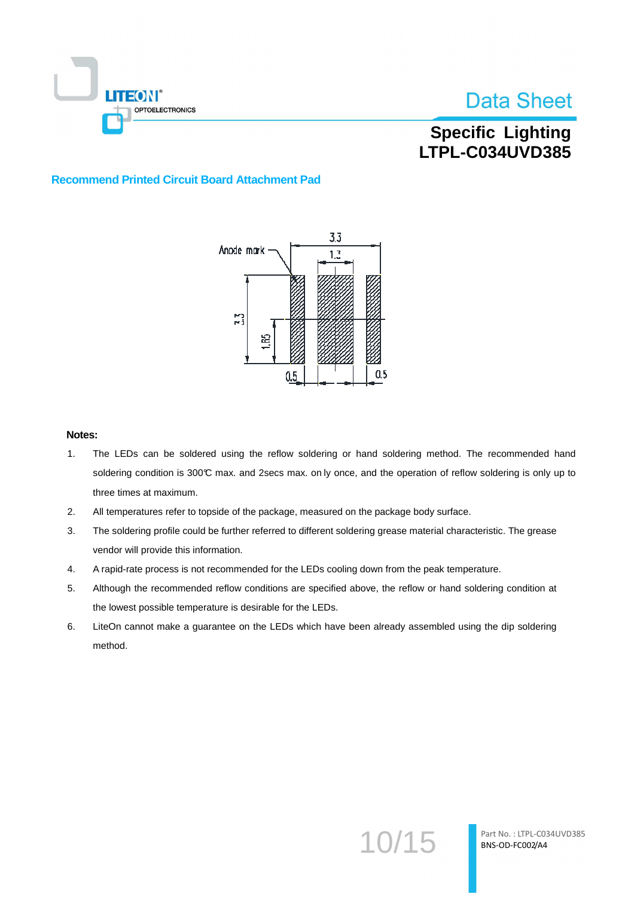

## **Specific Lighting** LTPL-C034UVD385

#### **Recommend Printed Circuit Board Attachment Pad**



- $1.$ The LEDs can be soldered using the reflow soldering or hand soldering method. The recommended hand soldering condition is 300°C max. and 2secs max. on ly once, and the operation of reflow soldering is only up to three times at maximum.
- $2.$ All temperatures refer to topside of the package, measured on the package body surface.
- $3<sub>1</sub>$ The soldering profile could be further referred to different soldering grease material characteristic. The grease vendor will provide this information.
- 4. A rapid-rate process is not recommended for the LEDs cooling down from the peak temperature.
- Although the recommended reflow conditions are specified above, the reflow or hand soldering condition at 5. the lowest possible temperature is desirable for the LEDs.
- 6. LiteOn cannot make a guarantee on the LEDs which have been already assembled using the dip soldering method.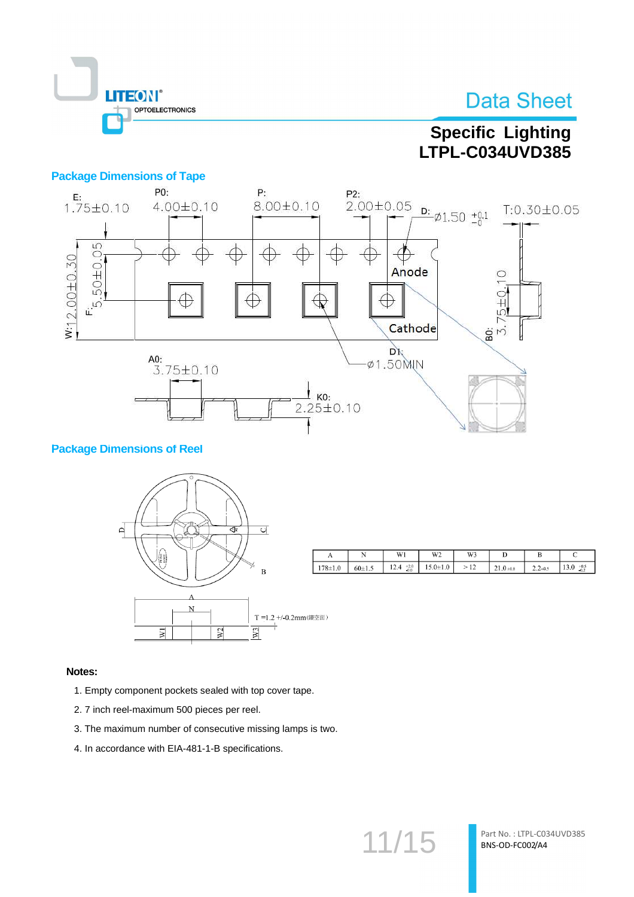

## **Specific Lighting LTPL-C034UVD385**

#### **Package Dimensions of Tape**



#### **Package Dimensions of Reel**



|            | N        | W1                       | $W^{\gamma}$<br>17 L | W3             |                                   | ມ           | ◡                         |
|------------|----------|--------------------------|----------------------|----------------|-----------------------------------|-------------|---------------------------|
| $78 + 1.0$ | $60+1.5$ | $^{+2.0}_{-0.0}$<br>12.4 | $.0{\pm}1.0$<br>. .  | $\overline{a}$ | $\sim$ $\sim$<br>$1.0 + 0.8$<br>ت | $2.2 - 0.5$ | $+0.5$<br>1.3.0<br>$-0.2$ |

#### Notes:

- 1. Empty component pockets sealed with top cover tape.
- 2.7 inch reel-maximum 500 pieces per reel.
- 3. The maximum number of consecutive missing lamps is two.
- 4. In accordance with EIA-481-1-B specifications.

 $11/15$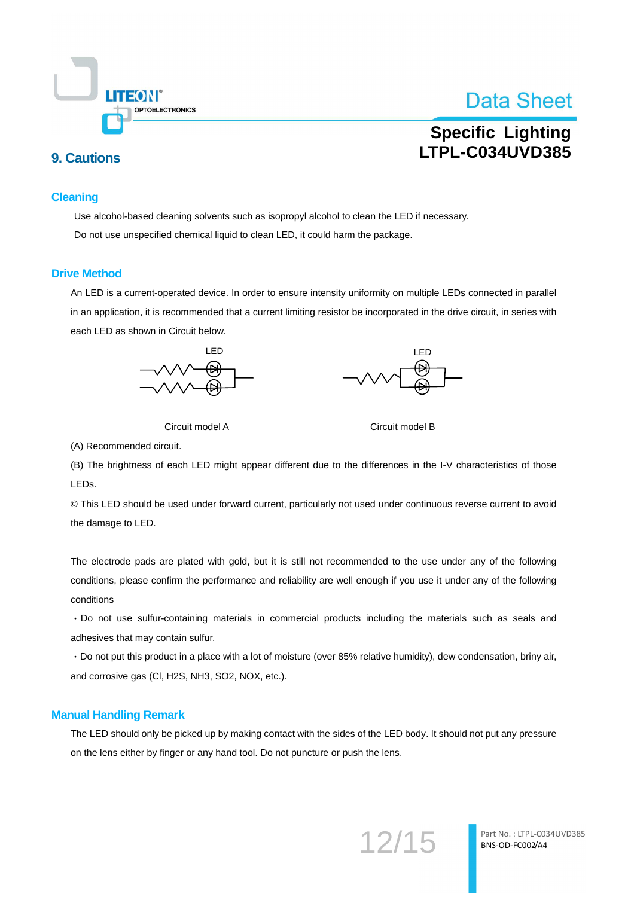

## **Specific Lighting** LTPL-C034UVD385

### **9. Cautions**

#### **Cleaning**

Use alcohol-based cleaning solvents such as isopropyl alcohol to clean the LED if necessary. Do not use unspecified chemical liquid to clean LED, it could harm the package.

#### **Drive Method**

An LED is a current-operated device. In order to ensure intensity uniformity on multiple LEDs connected in parallel in an application, it is recommended that a current limiting resistor be incorporated in the drive circuit, in series with each LED as shown in Circuit below.







Circuit model B

(A) Recommended circuit.

(B) The brightness of each LED might appear different due to the differences in the I-V characteristics of those LEDs.

© This LED should be used under forward current, particularly not used under continuous reverse current to avoid the damage to LED.

The electrode pads are plated with gold, but it is still not recommended to the use under any of the following conditions, please confirm the performance and reliability are well enough if you use it under any of the following conditions

· Do not use sulfur-containing materials in commercial products including the materials such as seals and adhesives that may contain sulfur.

· Do not put this product in a place with a lot of moisture (over 85% relative humidity), dew condensation, briny air, and corrosive gas (Cl, H2S, NH3, SO2, NOX, etc.).

#### **Manual Handling Remark**

The LED should only be picked up by making contact with the sides of the LED body. It should not put any pressure on the lens either by finger or any hand tool. Do not puncture or push the lens.

12/15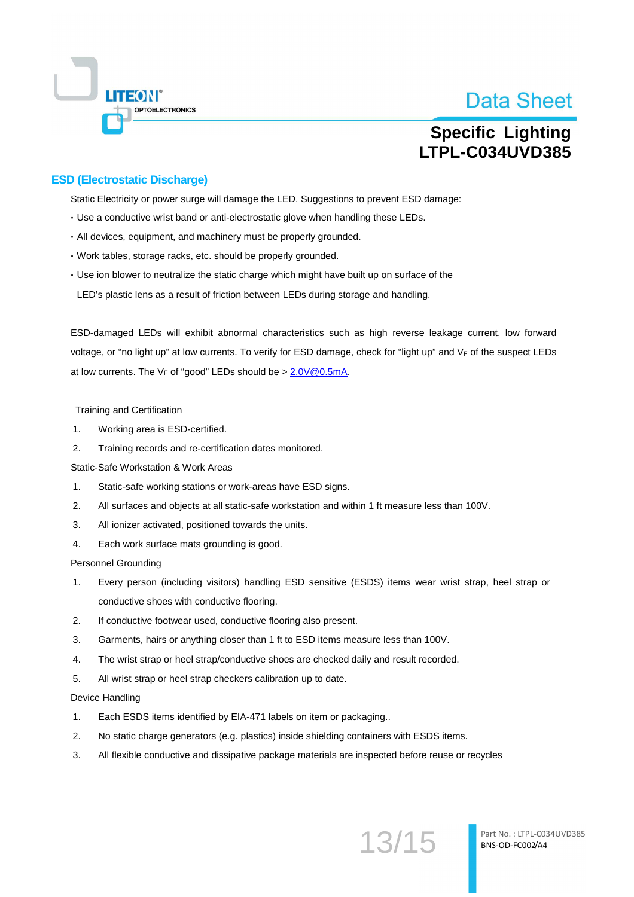

## **Specific Lighting** LTPL-C034UVD385

#### **ESD (Electrostatic Discharge)**

Static Electricity or power surge will damage the LED. Suggestions to prevent ESD damage:

- . Use a conductive wrist band or anti-electrostatic glove when handling these LEDs.
- · All devices, equipment, and machinery must be properly grounded.
- · Work tables, storage racks, etc. should be properly grounded.
- Use ion blower to neutralize the static charge which might have built up on surface of the LED's plastic lens as a result of friction between LEDs during storage and handling.

ESD-damaged LEDs will exhibit abnormal characteristics such as high reverse leakage current. low forward voltage, or "no light up" at low currents. To verify for ESD damage, check for "light up" and VF of the suspect LEDs at low currents. The  $V_F$  of "good" LEDs should be >  $2.0V@0.5mA$ .

**Training and Certification** 

- $\overline{1}$ Working area is ESD-certified.
- $2.$ Training records and re-certification dates monitored.

Static-Safe Workstation & Work Areas

- $\mathbf{1}$ Static-safe working stations or work-areas have ESD signs.
- $\mathcal{P}_{\cdot}$ All surfaces and objects at all static-safe workstation and within 1 ft measure less than 100V.
- $\overline{3}$ . All ionizer activated, positioned towards the units.
- $\overline{4}$ . Each work surface mats grounding is good.

**Personnel Grounding** 

- $\mathbf{1}$ Every person (including visitors) handling ESD sensitive (ESDS) items wear wrist strap, heel strap or conductive shoes with conductive flooring.
- $2.$ If conductive footwear used, conductive flooring also present.
- $3.$ Garments, hairs or anything closer than 1 ft to ESD items measure less than 100V.
- $\overline{4}$ . The wrist strap or heel strap/conductive shoes are checked daily and result recorded.
- 5. All wrist strap or heel strap checkers calibration up to date.

Device Handling

- $\mathbf 1$ . Each ESDS items identified by EIA-471 labels on item or packaging..
- $2.$ No static charge generators (e.g. plastics) inside shielding containers with ESDS items.
- $3.$ All flexible conductive and dissipative package materials are inspected before reuse or recycles

13/15

Part No.: LTPL-C034UVD385 BNS-OD-FC002/A4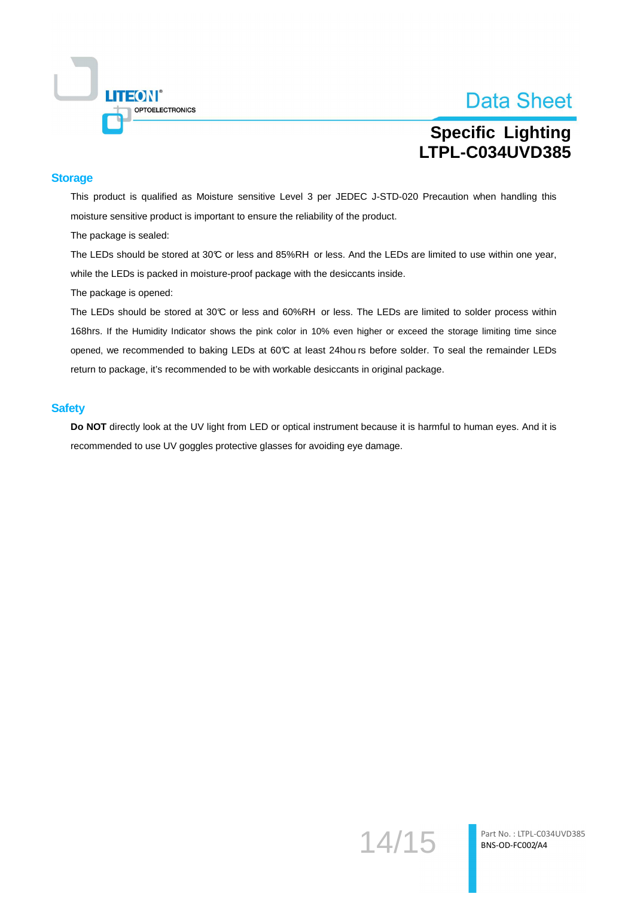

## **Specific Lighting** LTPL-C034UVD385

#### **Storage**

This product is qualified as Moisture sensitive Level 3 per JEDEC J-STD-020 Precaution when handling this moisture sensitive product is important to ensure the reliability of the product.

The package is sealed:

The LEDs should be stored at 30°C or less and 85%RH or less. And the LEDs are limited to use within one year, while the LEDs is packed in moisture-proof package with the desiccants inside.

The package is opened:

The LEDs should be stored at 30°C or less and 60%RH or less. The LEDs are limited to solder process within 168hrs. If the Humidity Indicator shows the pink color in 10% even higher or exceed the storage limiting time since opened, we recommended to baking LEDs at 60°C at least 24hou rs before solder. To seal the remainder LEDs return to package, it's recommended to be with workable desiccants in original package.

#### **Safety**

Do NOT directly look at the UV light from LED or optical instrument because it is harmful to human eyes. And it is recommended to use UV goggles protective glasses for avoiding eye damage.

14/15